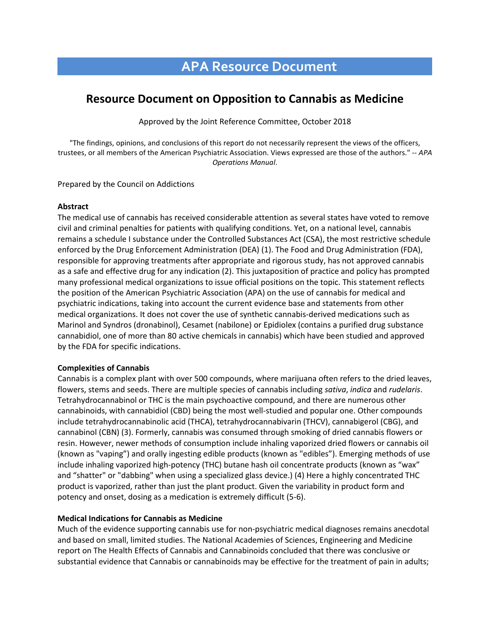# **APA Resource Document**

# **Resource Document on Opposition to Cannabis as Medicine**

Approved by the Joint Reference Committee, October 2018

"The findings, opinions, and conclusions of this report do not necessarily represent the views of the officers, trustees, or all members of the American Psychiatric Association. Views expressed are those of the authors." -- *APA Operations Manual*.

Prepared by the Council on Addictions

#### **Abstract**

The medical use of cannabis has received considerable attention as several states have voted to remove civil and criminal penalties for patients with qualifying conditions. Yet, on a national level, cannabis remains a schedule I substance under the Controlled Substances Act (CSA), the most restrictive schedule enforced by the Drug Enforcement Administration (DEA) (1). The Food and Drug Administration (FDA), responsible for approving treatments after appropriate and rigorous study, has not approved cannabis as a safe and effective drug for any indication (2). This juxtaposition of practice and policy has prompted many professional medical organizations to issue official positions on the topic. This statement reflects the position of the American Psychiatric Association (APA) on the use of cannabis for medical and psychiatric indications, taking into account the current evidence base and statements from other medical organizations. It does not cover the use of synthetic cannabis-derived medications such as Marinol and Syndros (dronabinol), Cesamet (nabilone) or Epidiolex (contains a purified drug substance cannabidiol, one of more than 80 active chemicals in cannabis) which have been studied and approved by the FDA for specific indications.

#### **Complexities of Cannabis**

Cannabis is a complex plant with over 500 compounds, where marijuana often refers to the dried leaves, flowers, stems and seeds. There are multiple species of cannabis including *sativa*, *indica* and *rudelaris*. Tetrahydrocannabinol or THC is the main psychoactive compound, and there are numerous other cannabinoids, with cannabidiol (CBD) being the most well-studied and popular one. Other compounds include tetrahydrocannabinolic acid (THCA), tetrahydrocannabivarin (THCV), cannabigerol (CBG), and cannabinol (CBN) (3). Formerly, cannabis was consumed through smoking of dried cannabis flowers or resin. However, newer methods of consumption include inhaling vaporized dried flowers or cannabis oil (known as "vaping") and orally ingesting edible products (known as "edibles"). Emerging methods of use include inhaling vaporized high-potency (THC) butane hash oil concentrate products (known as "wax" and "shatter" or "dabbing" when using a specialized glass device.) (4) Here a highly concentrated THC product is vaporized, rather than just the plant product. Given the variability in product form and potency and onset, dosing as a medication is extremely difficult (5-6).

#### **Medical Indications for Cannabis as Medicine**

Much of the evidence supporting cannabis use for non-psychiatric medical diagnoses remains anecdotal and based on small, limited studies. The National Academies of Sciences, Engineering and Medicine report on The Health Effects of Cannabis and Cannabinoids concluded that there was conclusive or substantial evidence that Cannabis or cannabinoids may be effective for the treatment of pain in adults;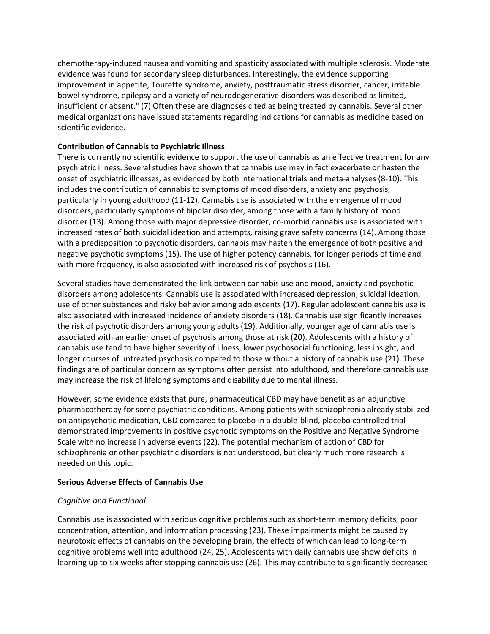chemotherapy-induced nausea and vomiting and spasticity associated with multiple sclerosis. Moderate evidence was found for secondary sleep disturbances. Interestingly, the evidence supporting improvement in appetite, Tourette syndrome, anxiety, posttraumatic stress disorder, cancer, irritable bowel syndrome, epilepsy and a variety of neurodegenerative disorders was described as limited, insufficient or absent." (7) Often these are diagnoses cited as being treated by cannabis. Several other medical organizations have issued statements regarding indications for cannabis as medicine based on scientific evidence.

#### **Contribution of Cannabis to Psychiatric Illness**

There is currently no scientific evidence to support the use of cannabis as an effective treatment for any psychiatric illness. Several studies have shown that cannabis use may in fact exacerbate or hasten the onset of psychiatric illnesses, as evidenced by both international trials and meta-analyses (8-10). This includes the contribution of cannabis to symptoms of mood disorders, anxiety and psychosis, particularly in young adulthood (11-12). Cannabis use is associated with the emergence of mood disorders, particularly symptoms of bipolar disorder, among those with a family history of mood disorder (13). Among those with major depressive disorder, co-morbid cannabis use is associated with increased rates of both suicidal ideation and attempts, raising grave safety concerns (14). Among those with a predisposition to psychotic disorders, cannabis may hasten the emergence of both positive and negative psychotic symptoms (15). The use of higher potency cannabis, for longer periods of time and with more frequency, is also associated with increased risk of psychosis (16).

Several studies have demonstrated the link between cannabis use and mood, anxiety and psychotic disorders among adolescents. Cannabis use is associated with increased depression, suicidal ideation, use of other substances and risky behavior among adolescents (17). Regular adolescent cannabis use is also associated with increased incidence of anxiety disorders (18). Cannabis use significantly increases the risk of psychotic disorders among young adults (19). Additionally, younger age of cannabis use is associated with an earlier onset of psychosis among those at risk (20). Adolescents with a history of cannabis use tend to have higher severity of illness, lower psychosocial functioning, less insight, and longer courses of untreated psychosis compared to those without a history of cannabis use (21). These findings are of particular concern as symptoms often persist into adulthood, and therefore cannabis use may increase the risk of lifelong symptoms and disability due to mental illness.

However, some evidence exists that pure, pharmaceutical CBD may have benefit as an adjunctive pharmacotherapy for some psychiatric conditions. Among patients with schizophrenia already stabilized on antipsychotic medication, CBD compared to placebo in a double-blind, placebo controlled trial demonstrated improvements in positive psychotic symptoms on the Positive and Negative Syndrome Scale with no increase in adverse events (22). The potential mechanism of action of CBD for schizophrenia or other psychiatric disorders is not understood, but clearly much more research is needed on this topic.

#### **Serious Adverse Effects of Cannabis Use**

#### *Cognitive and Functional*

Cannabis use is associated with serious cognitive problems such as short-term memory deficits, poor concentration, attention, and information processing (23). These impairments might be caused by neurotoxic effects of cannabis on the developing brain, the effects of which can lead to long-term cognitive problems well into adulthood (24, 25). Adolescents with daily cannabis use show deficits in learning up to six weeks after stopping cannabis use (26). This may contribute to significantly decreased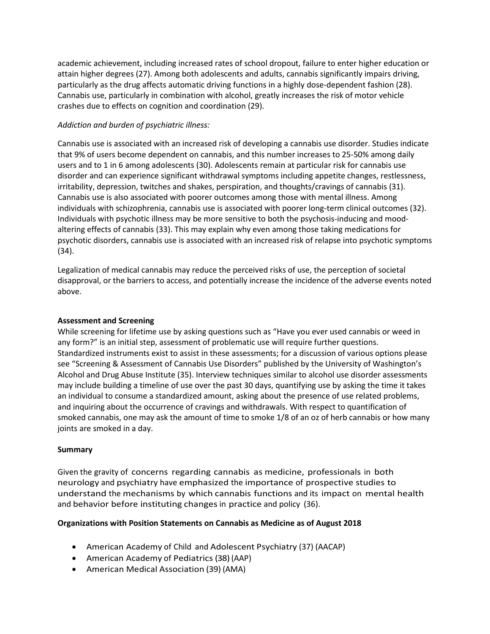academic achievement, including increased rates of school dropout, failure to enter higher education or attain higher degrees (27). Among both adolescents and adults, cannabis significantly impairs driving, particularly as the drug affects automatic driving functions in a highly dose-dependent fashion (28). Cannabis use, particularly in combination with alcohol, greatly increases the risk of motor vehicle crashes due to effects on cognition and coordination (29).

### *Addiction and burden of psychiatric illness:*

Cannabis use is associated with an increased risk of developing a cannabis use disorder. Studies indicate that 9% of users become dependent on cannabis, and this number increases to 25-50% among daily users and to 1 in 6 among adolescents (30). Adolescents remain at particular risk for cannabis use disorder and can experience significant withdrawal symptoms including appetite changes, restlessness, irritability, depression, twitches and shakes, perspiration, and thoughts/cravings of cannabis (31). Cannabis use is also associated with poorer outcomes among those with mental illness. Among individuals with schizophrenia, cannabis use is associated with poorer long-term clinical outcomes (32). Individuals with psychotic illness may be more sensitive to both the psychosis-inducing and moodaltering effects of cannabis (33). This may explain why even among those taking medications for psychotic disorders, cannabis use is associated with an increased risk of relapse into psychotic symptoms (34).

Legalization of medical cannabis may reduce the perceived risks of use, the perception of societal disapproval, or the barriers to access, and potentially increase the incidence of the adverse events noted above.

## **Assessment and Screening**

While screening for lifetime use by asking questions such as "Have you ever used cannabis or weed in any form?" is an initial step, assessment of problematic use will require further questions. Standardized instruments exist to assist in these assessments; for a discussion of various options please see "Screening & Assessment of Cannabis Use Disorders" published by the University of Washington's Alcohol and Drug Abuse Institute (35). Interview techniques similar to alcohol use disorder assessments may include building a timeline of use over the past 30 days, quantifying use by asking the time it takes an individual to consume a standardized amount, asking about the presence of use related problems, and inquiring about the occurrence of cravings and withdrawals. With respect to quantification of smoked cannabis, one may ask the amount of time to smoke 1/8 of an oz of herb cannabis or how many joints are smoked in a day.

# **Summary**

Given the gravity of concerns regarding cannabis as medicine, professionals in both neurology and psychiatry have emphasized the importance of prospective studies to understand the mechanisms by which cannabis functions and its impact on mental health and behavior before instituting changes in practice and policy (36).

#### **Organizations with Position Statements on Cannabis as Medicine as of August 2018**

- American Academy of Child and Adolescent Psychiatry (37) (AACAP)
- American Academy of Pediatrics(38) (AAP)
- American Medical Association (39) (AMA)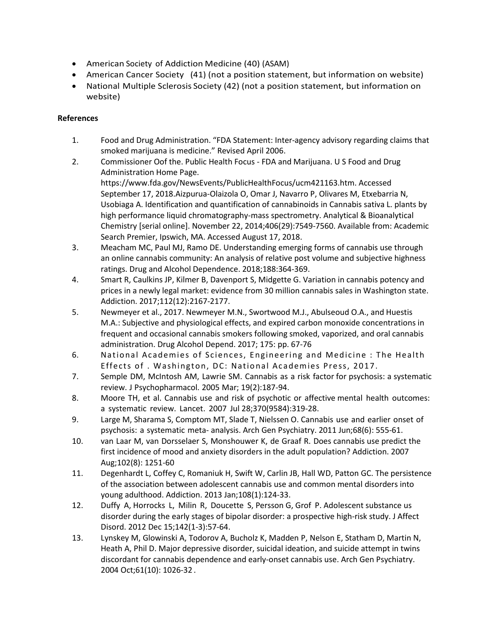- American Society of Addiction Medicine (40) (ASAM)
- American Cancer Society (41) (not a position statement, but information on website)
- National Multiple Sclerosis Society (42) (not a position statement, but information on website)

# **References**

- 1. Food and Drug Administration. "FDA Statement: Inter-agency advisory regarding claims that smoked marijuana is medicine." Revised April 2006.
- 2. Commissioner Oof the. Public Health Focus FDA and Marijuana. U S Food and Drug Administration Home Page. https://www.fda.gov/NewsEvents/PublicHealthFocus/ucm421163.htm. Accessed September 17, 2018.Aizpurua-Olaizola O, Omar J, Navarro P, Olivares M, Etxebarria N, Usobiaga A. Identification and quantification of cannabinoids in Cannabis sativa L. plants by high performance liquid chromatography-mass spectrometry. Analytical & Bioanalytical Chemistry [serial online]. November 22, 2014;406(29):7549-7560. Available from: Academic Search Premier, Ipswich, MA. Accessed August 17, 2018.
- 3. Meacham MC, Paul MJ, Ramo DE. Understanding emerging forms of cannabis use through an online cannabis community: An analysis of relative post volume and subjective highness ratings. Drug and Alcohol Dependence. 2018;188:364-369.
- 4. Smart R, Caulkins JP, Kilmer B, Davenport S, Midgette G. Variation in cannabis potency and prices in a newly legal market: evidence from 30 million cannabis sales in Washington state. Addiction. 2017;112(12):2167-2177.
- 5. Newmeyer et al., 2017. Newmeyer M.N., Swortwood M.J., Abulseoud O.A., and Huestis M.A.: Subjective and physiological effects, and expired carbon monoxide concentrations in frequent and occasional cannabis smokers following smoked, vaporized, and oral cannabis administration. Drug Alcohol Depend. 2017; 175: pp. 67-76
- 6. National Academies of Sciences, Engineering and Medicine : The Health Effects of . Washington, DC: National Academies Press, 2017.
- 7. Semple DM, McIntosh AM, Lawrie SM. Cannabis as a risk factor for psychosis: a systematic review. J Psychopharmacol. 2005 Mar; 19(2):187-94.
- 8. Moore TH, et al. Cannabis use and risk of psychotic or affective mental health outcomes: a systematic review. Lancet. 2007 Jul 28;370(9584):319-28.
- 9. Large M, Sharama S, Comptom MT, Slade T, Nielssen O. Cannabis use and earlier onset of psychosis: a systematic meta- analysis. Arch Gen Psychiatry. 2011 Jun;68(6): 555-61.
- 10. van Laar M, van Dorsselaer S, Monshouwer K, de Graaf R. Does cannabis use predict the first incidence of mood and anxiety disorders in the adult population? Addiction. 2007 Aug;102(8): 1251-60
- 11. Degenhardt L, Coffey C, Romaniuk H, Swift W, Carlin JB, Hall WD, Patton GC. The persistence of the association between adolescent cannabis use and common mental disorders into young adulthood. Addiction. 2013 Jan;108(1):124-33.
- 12. Duffy A, Horrocks L, Milin R, Doucette S, Persson G, Grof P. Adolescent substance us disorder during the early stages of bipolar disorder: a prospective high-risk study. J Affect Disord. 2012 Dec 15;142(1-3):57-64.
- 13. Lynskey M, Glowinski A, Todorov A, Bucholz K, Madden P, Nelson E, Statham D, Martin N, Heath A, Phil D. Major depressive disorder, suicidal ideation, and suicide attempt in twins discordant for cannabis dependence and early-onset cannabis use. Arch Gen Psychiatry. 2004 Oct;61(10): 1026-32 .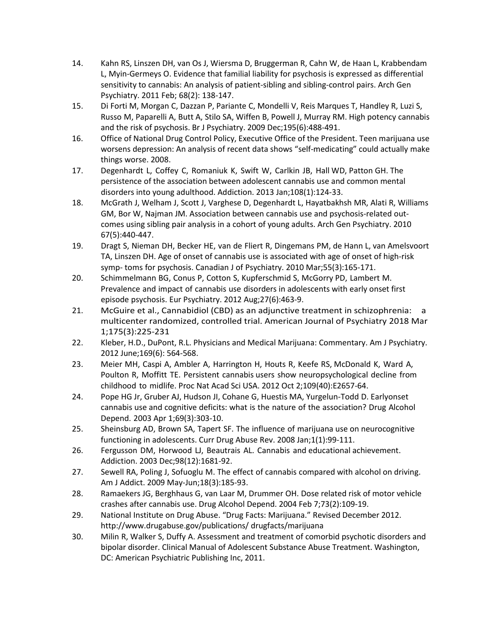- 14. Kahn RS, Linszen DH, van Os J, Wiersma D, Bruggerman R, Cahn W, de Haan L, Krabbendam L, Myin-Germeys O. Evidence that familial liability for psychosis is expressed as differential sensitivity to cannabis: An analysis of patient-sibling and sibling-control pairs. Arch Gen Psychiatry. 2011 Feb; 68(2): 138-147.
- 15. Di Forti M, Morgan C, Dazzan P, Pariante C, Mondelli V, Reis Marques T, Handley R, Luzi S, Russo M, Paparelli A, Butt A, Stilo SA, Wiffen B, Powell J, Murray RM. High potency cannabis and the risk of psychosis. Br J Psychiatry. 2009 Dec;195(6):488-491.
- 16. Office of National Drug Control Policy, Executive Office of the President. Teen marijuana use worsens depression: An analysis of recent data shows "self-medicating" could actually make things worse. 2008.
- 17. Degenhardt L, Coffey C, Romaniuk K, Swift W, Carlkin JB, Hall WD, Patton GH. The persistence of the association between adolescent cannabis use and common mental disorders into young adulthood. Addiction. 2013 Jan;108(1):124-33.
- 18. McGrath J, Welham J, Scott J, Varghese D, Degenhardt L, Hayatbakhsh MR, Alati R, Williams GM, Bor W, Najman JM. Association between cannabis use and psychosis-related outcomes using sibling pair analysis in a cohort of young adults. Arch Gen Psychiatry. 2010 67(5):440-447.
- 19. Dragt S, Nieman DH, Becker HE, van de Fliert R, Dingemans PM, de Hann L, van Amelsvoort TA, Linszen DH. Age of onset of cannabis use is associated with age of onset of high-risk symp- toms for psychosis. Canadian J of Psychiatry. 2010 Mar;55(3):165-171.
- 20. Schimmelmann BG, Conus P, Cotton S, Kupferschmid S, McGorry PD, Lambert M. Prevalence and impact of cannabis use disorders in adolescents with early onset first episode psychosis. Eur Psychiatry. 2012 Aug;27(6):463-9.
- 21. McGuire et al., Cannabidiol (CBD) as an adjunctive treatment in schizophrenia: a multicenter randomized, controlled trial. American Journal of Psychiatry 2018 Mar 1;175(3):225-231
- 22. Kleber, H.D., DuPont, R.L. Physicians and Medical Marijuana: Commentary. Am J Psychiatry. 2012 June;169(6): 564-568.
- 23. Meier MH, Caspi A, Ambler A, Harrington H, Houts R, Keefe RS, McDonald K, Ward A, Poulton R, Moffitt TE. Persistent cannabis users show neuropsychological decline from childhood to midlife. Proc Nat Acad Sci USA. 2012 Oct 2;109(40):E2657-64.
- 24. Pope HG Jr, Gruber AJ, Hudson JI, Cohane G, Huestis MA, Yurgelun-Todd D. Earlyonset cannabis use and cognitive deficits: what is the nature of the association? Drug Alcohol Depend. 2003 Apr 1;69(3):303-10.
- 25. Sheinsburg AD, Brown SA, Tapert SF. The influence of marijuana use on neurocognitive functioning in adolescents. Curr Drug Abuse Rev. 2008 Jan;1(1):99-111.
- 26. Fergusson DM, Horwood LJ, Beautrais AL. Cannabis and educational achievement. Addiction. 2003 Dec;98(12):1681-92.
- 27. Sewell RA, Poling J, Sofuoglu M. The effect of cannabis compared with alcohol on driving. Am J Addict. 2009 May-Jun;18(3):185-93.
- 28. Ramaekers JG, Berghhaus G, van Laar M, Drummer OH. Dose related risk of motor vehicle crashes after cannabis use. Drug Alcohol Depend. 2004 Feb 7;73(2):109-19.
- 29. National Institute on Drug Abuse. "Drug Facts: Marijuana." Revised December 201[2.](http://www.drugabuse.gov/publications/)  <http://www.drugabuse.gov/publications/> drugfacts/marijuana
- 30. Milin R, Walker S, Duffy A. Assessment and treatment of comorbid psychotic disorders and bipolar disorder. Clinical Manual of Adolescent Substance Abuse Treatment. Washington, DC: American Psychiatric Publishing Inc, 2011.